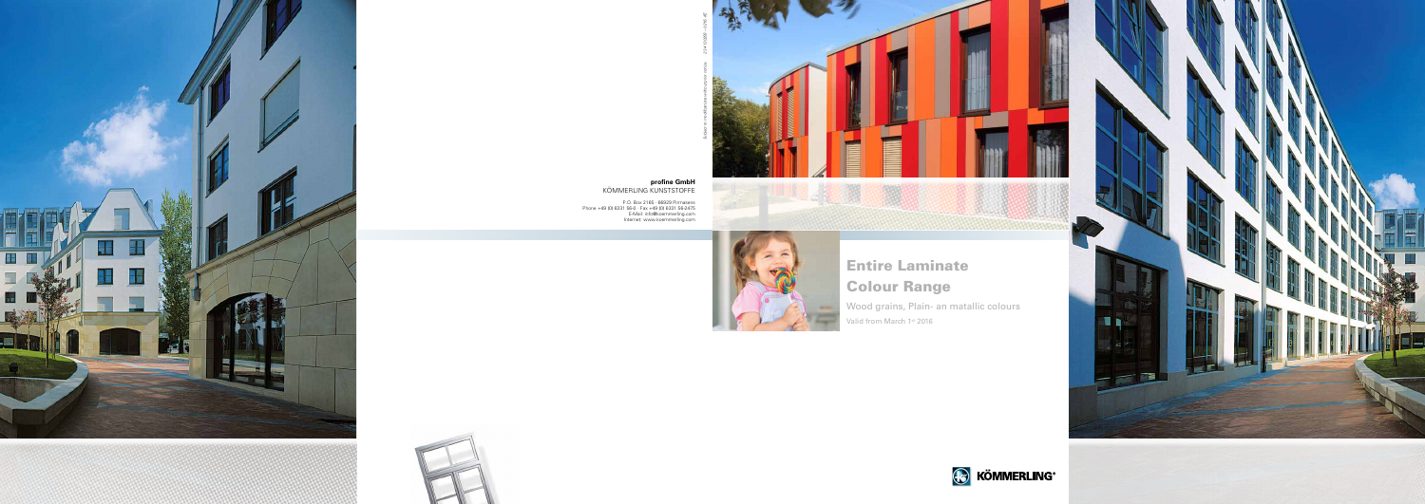





**profine GmbH** Kömmerling Kunststoffe

P.O. Box 2165 · 66929 Pirmasens Phone +49 (0) 6331 56-0 · Fax +49 (0) 6331 56-2475 E-Mail: info@koemmerling.com Internet: www.koemmerling.com





*Subject to modifications without prior notice. 2 34 130293 – 0216.-KE*